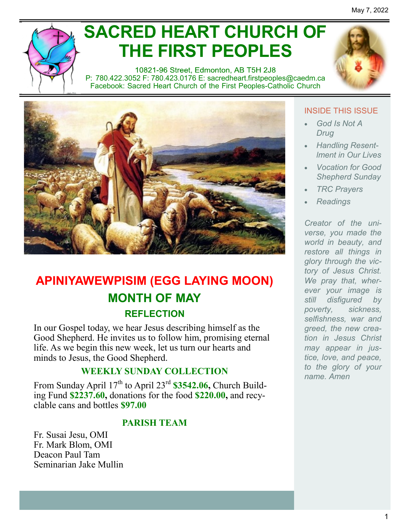# **SACRED HEART CHURCH OF THE FIRST PEOPLES**

10821-96 Street, Edmonton, AB T5H 2J8 P: 780.422.3052 F: 780.423.0176 E: [sacredheart.](mailto:sacredheart.firstpeoples@caedm.ca)firstpeoples@caedm.ca Facebook: Sacred Heart Church of the First Peoples-Catholic Church



# **APINIYAWEWPISIM (EGG LAYING MOON) MONTH OF MAY REFLECTION**

In our Gospel today, we hear Jesus describing himself as the Good Shepherd. He invites us to follow him, promising eternal life. As we begin this new week, let us turn our hearts and minds to Jesus, the Good Shepherd.

## **WEEKLY SUNDAY COLLECTION**

From Sunday April 17th to April 23rd **\$3542.06,** Church Building Fund **\$2237.60,** donations for the food **\$220.00,** and recyclable cans and bottles **\$97.00**

### **PARISH TEAM**

Fr. Susai Jesu, OMI Fr. Mark Blom, OMI Deacon Paul Tam Seminarian Jake Mullin

### INSIDE THIS ISSUE

- *God Is Not A Drug*
- *Handling Resentlment in Our Lives*
- *Vocation for Good Shepherd Sunday*
- *TRC Prayers*
- *Readings*

*Creator of the universe, you made the world in beauty, and restore all things in glory through the victory of Jesus Christ. We pray that, wherever your image is still disfigured by poverty, sickness, selfishness, war and greed, the new creation in Jesus Christ may appear in justice, love, and peace, to the glory of your name. Amen*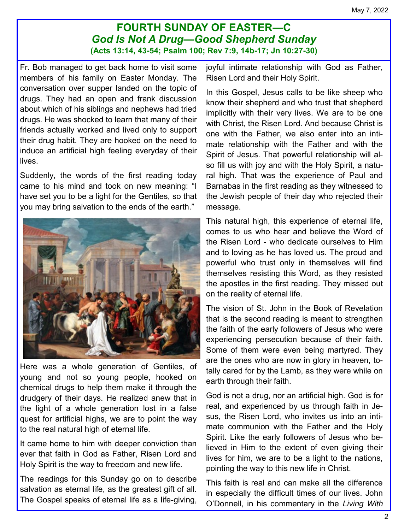# **FOURTH SUNDAY OF EASTER—C** *God Is Not A Drug—Good Shepherd Sunday* **(Acts 13:14, 43-54; Psalm 100; Rev 7:9, 14b-17; Jn 10:27-30)**

Fr. Bob managed to get back home to visit some members of his family on Easter Monday. The conversation over supper landed on the topic of drugs. They had an open and frank discussion about which of his siblings and nephews had tried drugs. He was shocked to learn that many of their friends actually worked and lived only to support their drug habit. They are hooked on the need to induce an artificial high feeling everyday of their lives.

Suddenly, the words of the first reading today came to his mind and took on new meaning: "I have set you to be a light for the Gentiles, so that you may bring salvation to the ends of the earth."



Here was a whole generation of Gentiles, of young and not so young people, hooked on chemical drugs to help them make it through the drudgery of their days. He realized anew that in the light of a whole generation lost in a false quest for artificial highs, we are to point the way to the real natural high of eternal life.

It came home to him with deeper conviction than ever that faith in God as Father, Risen Lord and Holy Spirit is the way to freedom and new life.

The readings for this Sunday go on to describe salvation as eternal life, as the greatest gift of all. The Gospel speaks of eternal life as a life-giving,

joyful intimate relationship with God as Father, Risen Lord and their Holy Spirit.

In this Gospel, Jesus calls to be like sheep who know their shepherd and who trust that shepherd implicitly with their very lives. We are to be one with Christ, the Risen Lord. And because Christ is one with the Father, we also enter into an intimate relationship with the Father and with the Spirit of Jesus. That powerful relationship will also fill us with joy and with the Holy Spirit, a natural high. That was the experience of Paul and Barnabas in the first reading as they witnessed to the Jewish people of their day who rejected their message.

This natural high, this experience of eternal life, comes to us who hear and believe the Word of the Risen Lord - who dedicate ourselves to Him and to loving as he has loved us. The proud and powerful who trust only in themselves will find themselves resisting this Word, as they resisted the apostles in the first reading. They missed out on the reality of eternal life.

The vision of St. John in the Book of Revelation that is the second reading is meant to strengthen the faith of the early followers of Jesus who were experiencing persecution because of their faith. Some of them were even being martyred. They are the ones who are now in glory in heaven, totally cared for by the Lamb, as they were while on earth through their faith.

God is not a drug, nor an artificial high. God is for real, and experienced by us through faith in Jesus, the Risen Lord, who invites us into an intimate communion with the Father and the Holy Spirit. Like the early followers of Jesus who believed in Him to the extent of even giving their lives for him, we are to be a light to the nations, pointing the way to this new life in Christ.

This faith is real and can make all the difference in especially the difficult times of our lives. John O'Donnell, in his commentary in the *Living With*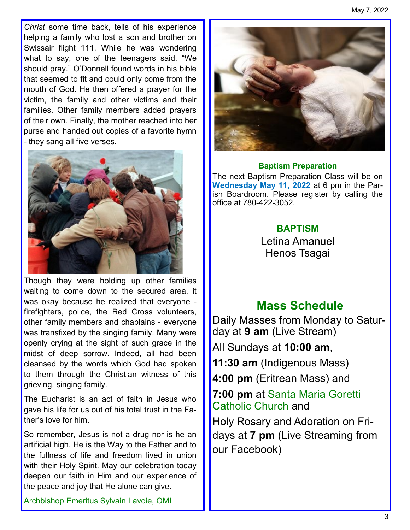*Christ* some time back, tells of his experience helping a family who lost a son and brother on Swissair flight 111. While he was wondering what to say, one of the teenagers said, "We should pray." O'Donnell found words in his bible that seemed to fit and could only come from the mouth of God. He then offered a prayer for the victim, the family and other victims and their families. Other family members added prayers of their own. Finally, the mother reached into her purse and handed out copies of a favorite hymn - they sang all five verses.



Though they were holding up other families waiting to come down to the secured area, it was okay because he realized that everyone firefighters, police, the Red Cross volunteers, other family members and chaplains - everyone was transfixed by the singing family. Many were openly crying at the sight of such grace in the midst of deep sorrow. Indeed, all had been cleansed by the words which God had spoken to them through the Christian witness of this grieving, singing family.

The Eucharist is an act of faith in Jesus who gave his life for us out of his total trust in the Father's love for him.

So remember, Jesus is not a drug nor is he an artificial high. He is the Way to the Father and to the fullness of life and freedom lived in union with their Holy Spirit. May our celebration today deepen our faith in Him and our experience of the peace and joy that He alone can give.



### **Baptism Preparation**

The next Baptism Preparation Class will be on **Wednesday May 11, 2022** at 6 pm in the Parish Boardroom. Please register by calling the office at 780-422-3052.

## **BAPTISM**

Letina Amanuel Henos Tsagai

# **Mass Schedule**

Daily Masses from Monday to Saturday at **9 am** (Live Stream)

All Sundays at **10:00 am**,

**11:30 am** (Indigenous Mass)

**4:00 pm** (Eritrean Mass) and

**7:00 pm** at Santa Maria Goretti Catholic Church and

Holy Rosary and Adoration on Fridays at **7 pm** (Live Streaming from our Facebook)

Archbishop Emeritus Sylvain Lavoie, OMI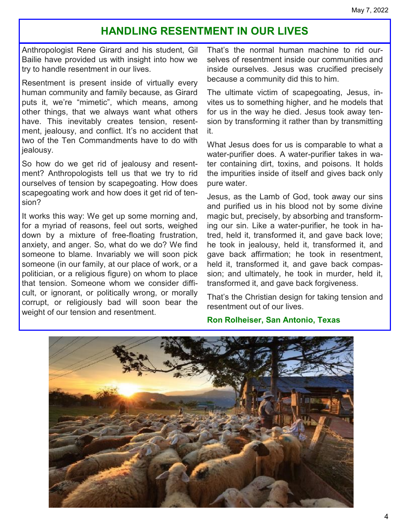# **HANDLING RESENTMENT IN OUR LIVES**

Anthropologist Rene Girard and his student, Gil Bailie have provided us with insight into how we try to handle resentment in our lives.

Resentment is present inside of virtually every human community and family because, as Girard puts it, we're "mimetic", which means, among other things, that we always want what others have. This inevitably creates tension, resentment, jealousy, and conflict. It's no accident that two of the Ten Commandments have to do with jealousy.

So how do we get rid of jealousy and resentment? Anthropologists tell us that we try to rid ourselves of tension by scapegoating. How does scapegoating work and how does it get rid of tension?

It works this way: We get up some morning and, for a myriad of reasons, feel out sorts, weighed down by a mixture of free-floating frustration, anxiety, and anger. So, what do we do? We find someone to blame. Invariably we will soon pick someone (in our family, at our place of work, or a politician, or a religious figure) on whom to place that tension. Someone whom we consider difficult, or ignorant, or politically wrong, or morally corrupt, or religiously bad will soon bear the weight of our tension and resentment.

That's the normal human machine to rid ourselves of resentment inside our communities and inside ourselves. Jesus was crucified precisely because a community did this to him.

The ultimate victim of scapegoating, Jesus, invites us to something higher, and he models that for us in the way he died. Jesus took away tension by transforming it rather than by transmitting it.

What Jesus does for us is comparable to what a water-purifier does. A water-purifier takes in water containing dirt, toxins, and poisons. It holds the impurities inside of itself and gives back only pure water.

Jesus, as the Lamb of God, took away our sins and purified us in his blood not by some divine magic but, precisely, by absorbing and transforming our sin. Like a water-purifier, he took in hatred, held it, transformed it, and gave back love; he took in jealousy, held it, transformed it, and gave back affirmation; he took in resentment, held it, transformed it, and gave back compassion; and ultimately, he took in murder, held it, transformed it, and gave back forgiveness.

That's the Christian design for taking tension and resentment out of our lives.

### **Ron Rolheiser, San Antonio, Texas**

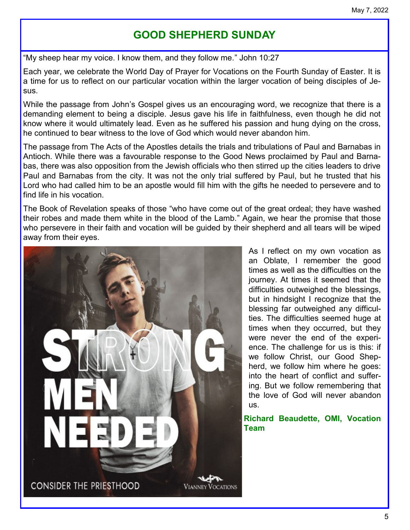# **GOOD SHEPHERD SUNDAY**

"My sheep hear my voice. I know them, and they follow me." John 10:27

Each year, we celebrate the World Day of Prayer for Vocations on the Fourth Sunday of Easter. It is a time for us to reflect on our particular vocation within the larger vocation of being disciples of Jesus.

While the passage from John's Gospel gives us an encouraging word, we recognize that there is a demanding element to being a disciple. Jesus gave his life in faithfulness, even though he did not know where it would ultimately lead. Even as he suffered his passion and hung dying on the cross, he continued to bear witness to the love of God which would never abandon him.

The passage from The Acts of the Apostles details the trials and tribulations of Paul and Barnabas in Antioch. While there was a favourable response to the Good News proclaimed by Paul and Barnabas, there was also opposition from the Jewish officials who then stirred up the cities leaders to drive Paul and Barnabas from the city. It was not the only trial suffered by Paul, but he trusted that his Lord who had called him to be an apostle would fill him with the gifts he needed to persevere and to find life in his vocation.

The Book of Revelation speaks of those "who have come out of the great ordeal; they have washed their robes and made them white in the blood of the Lamb." Again, we hear the promise that those who persevere in their faith and vocation will be guided by their shepherd and all tears will be wiped away from their eyes.



As I reflect on my own vocation as an Oblate, I remember the good times as well as the difficulties on the journey. At times it seemed that the difficulties outweighed the blessings, but in hindsight I recognize that the blessing far outweighed any difficulties. The difficulties seemed huge at times when they occurred, but they were never the end of the experience. The challenge for us is this: if we follow Christ, our Good Shepherd, we follow him where he goes: into the heart of conflict and suffering. But we follow remembering that the love of God will never abandon us.

**Richard Beaudette, OMI, Vocation Team**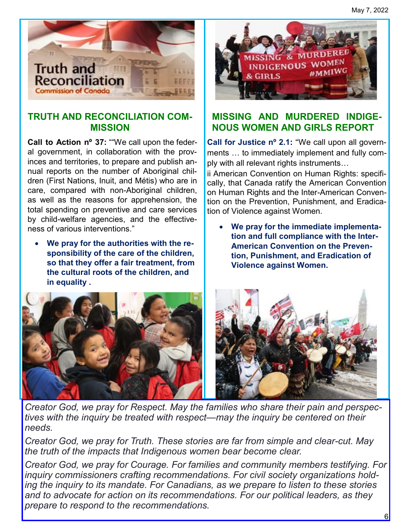May 7, 2022



## **TRUTH AND RECONCILIATION COM-MISSION**

**Call to Action nº 37:** ""We call upon the federal government, in collaboration with the provinces and territories, to prepare and publish annual reports on the number of Aboriginal children (First Nations, Inuit, and Métis) who are in care, compared with non-Aboriginal children, as well as the reasons for apprehension, the total spending on preventive and care services by child-welfare agencies, and the effectiveness of various interventions."

• **We pray for the authorities with the responsibility of the care of the children, so that they offer a fair treatment, from the cultural roots of the children, and in equality .**



# **MISSING AND MURDERED INDIGE-NOUS WOMEN AND GIRLS REPORT**

**Call for Justice nº 2.1:** "We call upon all governments … to immediately implement and fully comply with all relevant rights instruments…

ii American Convention on Human Rights: specifically, that Canada ratify the American Convention on Human Rights and the Inter-American Convention on the Prevention, Punishment, and Eradication of Violence against Women.

• **We pray for the immediate implementation and full compliance with the Inter-American Convention on the Prevention, Punishment, and Eradication of Violence against Women.** 



*Creator God, we pray for Respect. May the families who share their pain and perspectives with the inquiry be treated with respect—may the inquiry be centered on their needs.*

*Creator God, we pray for Truth. These stories are far from simple and clear-cut. May the truth of the impacts that Indigenous women bear become clear.*

*Creator God, we pray for Courage. For families and community members testifying. For inquiry commissioners crafting recommendations. For civil society organizations holding the inquiry to its mandate. For Canadians, as we prepare to listen to these stories and to advocate for action on its recommendations. For our political leaders, as they prepare to respond to the recommendations.*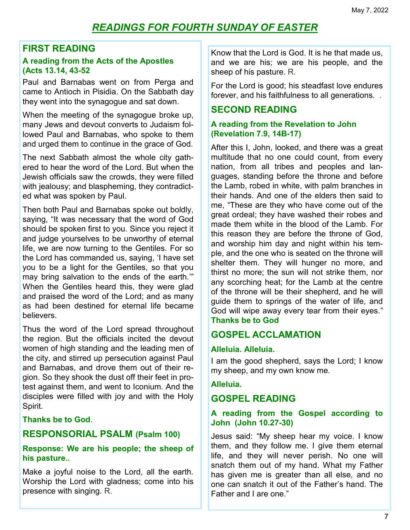# *READINGS FOR FOURTH SUNDAY OF EASTER*

### **FIRST READING**

### **A reading from the Acts of the Apostles (Acts 13.14, 43-52**

Paul and Barnabas went on from Perga and came to Antioch in Pisidia. On the Sabbath day they went into the synagogue and sat down.

When the meeting of the synagogue broke up, many Jews and devout converts to Judaism followed Paul and Barnabas, who spoke to them and urged them to continue in the grace of God.

The next Sabbath almost the whole city gathered to hear the word of the Lord. But when the Jewish officials saw the crowds, they were filled with jealousy; and blaspheming, they contradicted what was spoken by Paul.

Then both Paul and Barnabas spoke out boldly, saying, "It was necessary that the word of God should be spoken first to you. Since you reject it and judge yourselves to be unworthy of eternal life, we are now turning to the Gentiles. For so the Lord has commanded us, saying, 'I have set you to be a light for the Gentiles, so that you may bring salvation to the ends of the earth.'" When the Gentiles heard this, they were glad and praised the word of the Lord; and as many as had been destined for eternal life became **believers** 

Thus the word of the Lord spread throughout the region. But the officials incited the devout women of high standing and the leading men of the city, and stirred up persecution against Paul and Barnabas, and drove them out of their region. So they shook the dust off their feet in protest against them, and went to Iconium. And the disciples were filled with joy and with the Holy Spirit.

#### **Thanks be to God**.

### **RESPONSORIAL PSALM (Psalm 100)**

#### **Response: We are his people; the sheep of his pasture..**

Make a joyful noise to the Lord, all the earth. Worship the Lord with gladness; come into his presence with singing. R.

Know that the Lord is God. It is he that made us, and we are his; we are his people, and the sheep of his pasture. R.

For the Lord is good; his steadfast love endures forever, and his faithfulness to all generations. .

### **SECOND READING**

### **A reading from the Revelation to John (Revelation 7.9, 14B-17)**

After this I, John, looked, and there was a great multitude that no one could count, from every nation, from all tribes and peoples and languages, standing before the throne and before the Lamb, robed in white, with palm branches in their hands. And one of the elders then said to me, "These are they who have come out of the great ordeal; they have washed their robes and made them white in the blood of the Lamb. For this reason they are before the throne of God, and worship him day and night within his temple, and the one who is seated on the throne will shelter them. They will hunger no more, and thirst no more; the sun will not strike them, nor any scorching heat; for the Lamb at the centre of the throne will be their shepherd, and he will guide them to springs of the water of life, and God will wipe away every tear from their eyes." **Thanks be to God** 

### **GOSPEL ACCLAMATION**

#### **Alleluia. Alleluia.**

I am the good shepherd, says the Lord; I know my sheep, and my own know me.

**Alleluia.**

### **GOSPEL READING**

### **A reading from the Gospel according to John (John 10.27-30)**

Jesus said: "My sheep hear my voice. I know them, and they follow me. I give them eternal life, and they will never perish. No one will snatch them out of my hand. What my Father has given me is greater than all else, and no one can snatch it out of the Father's hand. The Father and I are one."